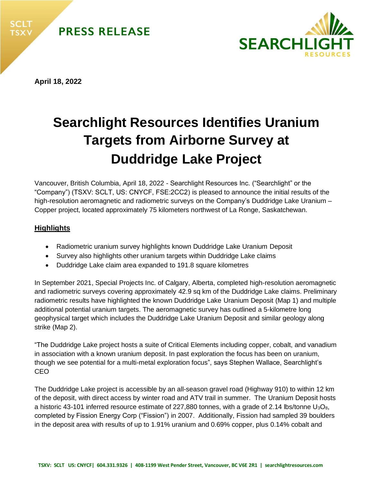



**April 18, 2022**

# **Searchlight Resources Identifies Uranium Targets from Airborne Survey at Duddridge Lake Project**

Vancouver, British Columbia, April 18, 2022 - Searchlight Resources Inc. ("Searchlight" or the "Company") (TSXV: SCLT, US: CNYCF, FSE:2CC2) is pleased to announce the initial results of the high-resolution aeromagnetic and radiometric surveys on the Company's Duddridge Lake Uranium – Copper project, located approximately 75 kilometers northwest of La Ronge, Saskatchewan.

## **Highlights**

- Radiometric uranium survey highlights known Duddridge Lake Uranium Deposit
- Survey also highlights other uranium targets within Duddridge Lake claims
- Duddridge Lake claim area expanded to 191.8 square kilometres

In September 2021, Special Projects Inc. of Calgary, Alberta, completed high-resolution aeromagnetic and radiometric surveys covering approximately 42.9 sq km of the Duddridge Lake claims. Preliminary radiometric results have highlighted the known Duddridge Lake Uranium Deposit (Map 1) and multiple additional potential uranium targets. The aeromagnetic survey has outlined a 5-kilometre long geophysical target which includes the Duddridge Lake Uranium Deposit and similar geology along strike (Map 2).

"The Duddridge Lake project hosts a suite of Critical Elements including copper, cobalt, and vanadium in association with a known uranium deposit. In past exploration the focus has been on uranium, though we see potential for a multi-metal exploration focus", says Stephen Wallace, Searchlight's CEO

The Duddridge Lake project is accessible by an all-season gravel road (Highway 910) to within 12 km of the deposit, with direct access by winter road and ATV trail in summer. The Uranium Deposit hosts a historic 43-101 inferred resource estimate of 227,880 tonnes, with a grade of 2.14 lbs/tonne  $U_3O_8$ , completed by Fission Energy Corp ("Fission") in 2007. Additionally, Fission had sampled 39 boulders in the deposit area with results of up to 1.91% uranium and 0.69% copper, plus 0.14% cobalt and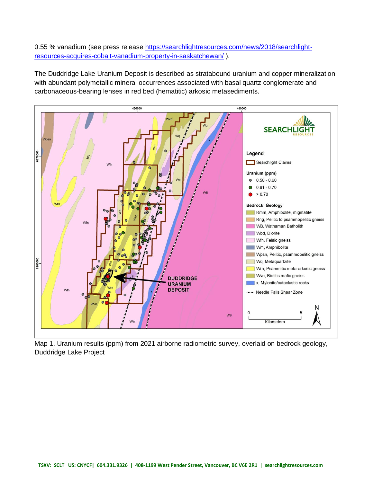0.55 % vanadium (see press release [https://searchlightresources.com/news/2018/searchlight](about:blank)[resources-acquires-cobalt-vanadium-property-in-saskatchewan/](about:blank) ).

The Duddridge Lake Uranium Deposit is described as stratabound uranium and copper mineralization with abundant polymetallic mineral occurrences associated with basal quartz conglomerate and carbonaceous-bearing lenses in red bed (hematitic) arkosic metasediments.



Map 1. Uranium results (ppm) from 2021 airborne radiometric survey, overlaid on bedrock geology, Duddridge Lake Project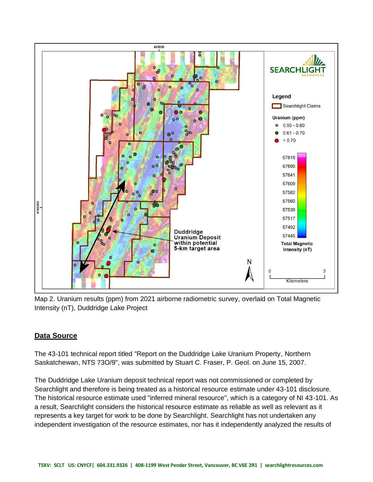

Map 2. Uranium results (ppm) from 2021 airborne radiometric survey, overlaid on Total Magnetic Intensity (nT), Duddridge Lake Project

## **Data Source**

The 43-101 technical report titled "Report on the Duddridge Lake Uranium Property, Northern Saskatchewan, NTS 73O/9", was submitted by Stuart C. Fraser, P. Geol. on June 15, 2007.

The Duddridge Lake Uranium deposit technical report was not commissioned or completed by Searchlight and therefore is being treated as a historical resource estimate under 43-101 disclosure. The historical resource estimate used "inferred mineral resource", which is a category of NI 43-101. As a result, Searchlight considers the historical resource estimate as reliable as well as relevant as it represents a key target for work to be done by Searchlight. Searchlight has not undertaken any independent investigation of the resource estimates, nor has it independently analyzed the results of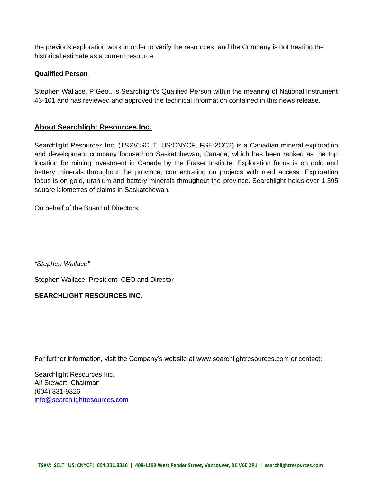the previous exploration work in order to verify the resources, and the Company is not treating the historical estimate as a current resource.

#### **Qualified Person**

Stephen Wallace, P.Geo., is Searchlight's Qualified Person within the meaning of National Instrument 43-101 and has reviewed and approved the technical information contained in this news release.

### **About Searchlight Resources Inc.**

Searchlight Resources Inc. (TSXV:SCLT, US:CNYCF, FSE:2CC2) is a Canadian mineral exploration and development company focused on Saskatchewan, Canada, which has been ranked as the top location for mining investment in Canada by the Fraser Institute. Exploration focus is on gold and battery minerals throughout the province, concentrating on projects with road access. Exploration focus is on gold, uranium and battery minerals throughout the province. Searchlight holds over 1,395 square kilometres of claims in Saskatchewan.

On behalf of the Board of Directors,

*"Stephen Wallace"* 

Stephen Wallace, President, CEO and Director

#### **SEARCHLIGHT RESOURCES INC.**

For further information, visit the Company's website at www.searchlightresources.com or contact:

Searchlight Resources Inc. Alf Stewart, Chairman (604) 331-9326 [info@searchlightresources.com](about:blank)